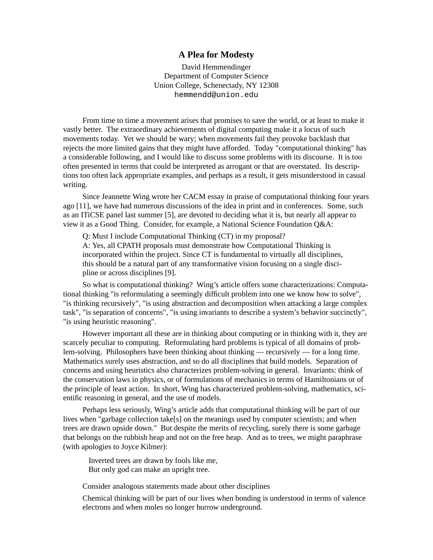## **A Plea for Modesty**

David Hemmendinger Department of Computer Science Union College, Schenectady, NY 12308 hemmendd@union.edu

From time to time a movement arises that promises to save the world, or at least to make it vastly better. The extraordinary achievements of digital computing make it a locus of such movements today. Yet we should be wary; when movements fail they provoke backlash that rejects the more limited gains that they might have afforded. Today "computational thinking" has a considerable following, and I would like to discuss some problems with its discourse. It is too often presented in terms that could be interpreted as arrogant or that are overstated. Its descriptions too often lack appropriate examples, and perhaps as a result, it gets misunderstood in casual writing.

Since Jeannette Wing wrote her CACM essay in praise of computational thinking four years ago [11], we have had numerous discussions of the idea in print and in conferences. Some, such as an ITiCSE panel last summer [5], are devoted to deciding what it is, but nearly all appear to view it as a Good Thing. Consider, for example, a National Science Foundation Q&A:

Q: Must I include Computational Thinking (CT) in my proposal? A: Yes, all CPATH proposals must demonstrate how Computational Thinking is incorporated within the project. Since CT is fundamental to virtually all disciplines, this should be a natural part of any transformative vision focusing on a single discipline or across disciplines [9].

So what is computational thinking? Wing's article offers some characterizations: Computational thinking "is reformulating a seemingly difficult problem into one we know how to solve", "is thinking recursively", "is using abstraction and decomposition when attacking a large complex task", "is separation of concerns", "is using invariants to describe a system's behavior succinctly", "is using heuristic reasoning".

However important all these are in thinking about computing or in thinking with it, they are scarcely peculiar to computing. Reformulating hard problems is typical of all domains of problem-solving. Philosophers have been thinking about thinking — recursively — for a long time. Mathematics surely uses abstraction, and so do all disciplines that build models. Separation of concerns and using heuristics also characterizes problem-solving in general. Invariants: think of the conservation laws in physics, or of formulations of mechanics in terms of Hamiltonians or of the principle of least action. In short, Wing has characterized problem-solving, mathematics, scientific reasoning in general, and the use of models.

Perhaps less seriously, Wing's article adds that computational thinking will be part of our lives when "garbage collection take[s] on the meanings used by computer scientists; and when trees are drawn upside down." But despite the merits of recycling, surely there is some garbage that belongs on the rubbish heap and not on the free heap. And as to trees, we might paraphrase (with apologies to Joyce Kilmer):

Inverted trees are drawn by fools like me, But only god can make an upright tree.

Consider analogous statements made about other disciplines

Chemical thinking will be part of our lives when bonding is understood in terms of valence electrons and when moles no longer burrow underground.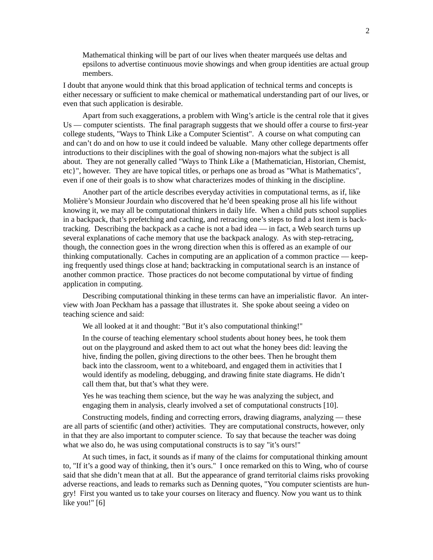Mathematical thinking will be part of our lives when theater marqueés use deltas and epsilons to advertise continuous movie showings and when group identities are actual group members.

I doubt that anyone would think that this broad application of technical terms and concepts is either necessary or sufficient to make chemical or mathematical understanding part of our lives, or even that such application is desirable.

Apart from such exaggerations, a problem with Wing's article is the central role that it gives Us — computer scientists. The final paragraph suggests that we should offer a course to first-year college students, "Ways to Think Like a Computer Scientist". A course on what computing can and can't do and on how to use it could indeed be valuable. Many other college departments offer introductions to their disciplines with the goal of showing non-majors what the subject is all about. They are not generally called "Ways to Think Like a {Mathematician, Historian, Chemist, etc}", however. They are have topical titles, or perhaps one as broad as "What is Mathematics", even if one of their goals is to show what characterizes modes of thinking in the discipline.

Another part of the article describes everyday activities in computational terms, as if, like Molière's Monsieur Jourdain who discovered that he'd been speaking prose all his life without knowing it, we may all be computational thinkers in daily life. When a child puts school supplies in a backpack, that's prefetching and caching, and retracing one's steps to find a lost item is backtracking. Describing the backpack as a cache is not a bad idea — in fact, a Web search turns up several explanations of cache memory that use the backpack analogy. As with step-retracing, though, the connection goes in the wrong direction when this is offered as an example of our thinking computationally. Caches in computing are an application of a common practice — keeping frequently used things close at hand; backtracking in computational search is an instance of another common practice. Those practices do not become computational by virtue of finding application in computing.

Describing computational thinking in these terms can have an imperialistic flavor. An interview with Joan Peckham has a passage that illustrates it. She spoke about seeing a video on teaching science and said:

We all looked at it and thought: "But it's also computational thinking!"

In the course of teaching elementary school students about honey bees, he took them out on the playground and asked them to act out what the honey bees did: leaving the hive, finding the pollen, giving directions to the other bees. Then he brought them back into the classroom, went to a whiteboard, and engaged them in activities that I would identify as modeling, debugging, and drawing finite state diagrams. He didn't call them that, but that's what they were.

Yes he was teaching them science, but the way he was analyzing the subject, and engaging them in analysis, clearly involved a set of computational constructs [10].

Constructing models, finding and correcting errors, drawing diagrams, analyzing — these are all parts of scientific (and other) activities. They are computational constructs, however, only in that they are also important to computer science. To say that because the teacher was doing what we also do, he was using computational constructs is to say "it's ours!"

At such times, in fact, it sounds as if many of the claims for computational thinking amount to, "If it'sagood way of thinking, then it's ours." I once remarked on this to Wing, who of course said that she didn't mean that at all. But the appearance of grand territorial claims risks provoking adverse reactions, and leads to remarks such as Denning quotes, "You computer scientists are hungry! First you wanted us to take your courses on literacy and fluency. Now you want us to think like you!" [6]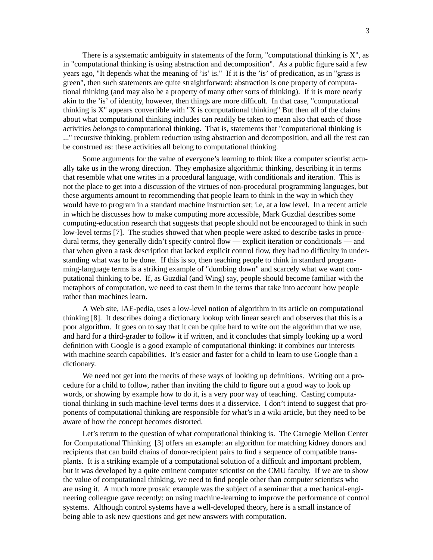There is a systematic ambiguity in statements of the form, "computational thinking is  $X$ ", as in "computational thinking is using abstraction and decomposition". As a public figure said a few years ago, "It depends what the meaning of 'is' is." If it is the 'is' of predication, as in "grass is green", then such statements are quite straightforward: abstraction is one property of computational thinking (and may also be a property of many other sorts of thinking). If it is more nearly akin to the 'is' of identity, however, then things are more difficult. In that case, "computational thinking is X" appears convertible with "X is computational thinking" But then all of the claims about what computational thinking includes can readily be taken to mean also that each of those activities *belongs* to computational thinking. That is, statements that "computational thinking is ..." recursive thinking, problem reduction using abstraction and decomposition, and all the rest can be construed as: these activities all belong to computational thinking.

Some arguments for the value of everyone's learning to think like a computer scientist actually take us in the wrong direction. They emphasize algorithmic thinking, describing it in terms that resemble what one writes in a procedural language, with conditionals and iteration. This is not the place to get into a discussion of the virtues of non-procedural programming languages, but these arguments amount to recommending that people learn to think in the way in which they would have to program in a standard machine instruction set; i.e, at a low level. In a recent article in which he discusses how to make computing more accessible, Mark Guzdial describes some computing-education research that suggests that people should not be encouraged to think in such low-level terms [7]. The studies showed that when people were asked to describe tasks in procedural terms, they generally didn't specify control flow—explicit iteration or conditionals — and that when given a task description that lacked explicit control flow, they had no difficulty in understanding what was to be done. If this is so, then teaching people to think in standard programming-language terms is a striking example of "dumbing down" and scarcely what we want computational thinking to be. If, as Guzdial (and Wing) say, people should become familiar with the metaphors of computation, we need to cast them in the terms that take into account how people rather than machines learn.

A Web site, IAE-pedia, uses a low-level notion of algorithm in its article on computational thinking [8]. It describes doing a dictionary lookup with linear search and observes that this is a poor algorithm. It goes on to say that it can be quite hard to write out the algorithm that we use, and hard for a third-grader to follow it if written, and it concludes that simply looking up a word definition with Google is a good example of computational thinking: it combines our interests with machine search capabilities. It's easier and faster for a child to learn to use Google than a dictionary.

We need not get into the merits of these ways of looking up definitions. Writing out a procedure for a child to follow, rather than inviting the child to figure out a good way to look up words, or showing by example how to do it, is a very poor way of teaching. Casting computational thinking in such machine-level terms does it a disservice. I don't intend to suggest that proponents of computational thinking are responsible for what's in a wiki article, but they need to be aware of how the concept becomes distorted.

Let's return to the question of what computational thinking is. The Carnegie Mellon Center for Computational Thinking [3] offers an example: an algorithm for matching kidney donors and recipients that can build chains of donor-recipient pairs to find a sequence of compatible transplants. It is a striking example of a computational solution of a difficult and important problem, but it was developed by a quite eminent computer scientist on the CMU faculty. If we are to show the value of computational thinking, we need to find people other than computer scientists who are using it. A much more prosaic example was the subject of a seminar that a mechanical-engineering colleague gave recently: on using machine-learning to improve the performance of control systems. Although control systems have a well-developed theory, here is a small instance of being able to ask new questions and get new answers with computation.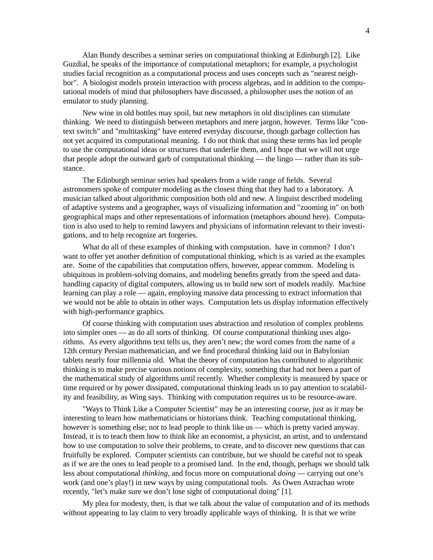Alan Bundy describes a seminar series on computational thinking at Edinburgh [2]. Like Guzdial, he speaks of the importance of computational metaphors; for example, a psychologist studies facial recognition as a computational process and uses concepts such as "nearest neighbor". A biologist models protein interaction with process algebras, and in addition to the computational models of mind that philosophers have discussed, a philosopher uses the notion of an emulator to study planning.

New wine in old bottles may spoil, but new metaphors in old disciplines can stimulate thinking. We need to distinguish between metaphors and mere jargon, however. Terms like "context switch" and "multitasking" have entered everyday discourse, though garbage collection has not yet acquired its computational meaning. I do not think that using these terms has led people to use the computational ideas or structures that underlie them, and I hope that we will not urge that people adopt the outward garb of computational thinking — the lingo — rather than its substance.

The Edinburgh seminar series had speakers from a wide range of fields. Several astronomers spoke of computer modeling as the closest thing that they had to a laboratory. A musician talked about algorithmic composition both old and new. A linguist described modeling of adaptive systems and a geographer, ways of visualizing information and "zooming in" on both geographical maps and other representations of information (metaphors abound here). Computation is also used to help to remind lawyers and physicians of information relevant to their investigations, and to help recognize art forgeries.

What do all of these examples of thinking with computation. have in common? I don't want to offer yet another definition of computational thinking, which is as varied as the examples are. Some of the capabilities that computation offers, however, appear common. Modeling is ubiquitous in problem-solving domains, and modeling benefits greatly from the speed and datahandling capacity of digital computers, allowing us to build new sort of models readily. Machine learning can play a role — again, employing massive data processing to extract information that we would not be able to obtain in other ways. Computation lets us display information effectively with high-performance graphics.

Of course thinking with computation uses abstraction and resolution of complex problems into simpler ones — as do all sorts of thinking. Of course computational thinking uses algorithms. As every algorithms text tells us, they aren't new; the word comes from the name of a 12th century Persian mathematician, and we find procedural thinking laid out in Babylonian tablets nearly four millennia old. What the theory of computation has contributed to algorithmic thinking is to make precise various notions of complexity, something that had not been a part of the mathematical study of algorithms until recently. Whether complexity is measured by space or time required or by power dissipated, computational thinking leads us to pay attention to scalability and feasibility, as Wing says. Thinking with computation requires us to be resource-aware.

"Ways to Think Like a Computer Scientist" may be an interesting course, just as it may be interesting to learn how mathematicians or historians think. Teaching computational thinking, however is something else; not to lead people to think like us — which is pretty varied anyway. Instead, it is to teach them how to think like an economist, a physicist, an artist, and to understand how to use computation to solve their problems, to create, and to discover new questions that can fruitfully be explored. Computer scientists can contribute, but we should be careful not to speak as if we are the ones to lead people to a promised land. In the end, though, perhaps we should talk less about computational *thinking*, and focus more on computational *doing* — carrying out one's work (and one's play!) in new ways by using computational tools. As Owen Astrachan wrote recently, "let's make sure we don't lose sight of computational doing" [1].

My plea for modesty, then, is that we talk about the value of computation and of its methods without appearing to lay claim to very broadly applicable ways of thinking. It is that we write